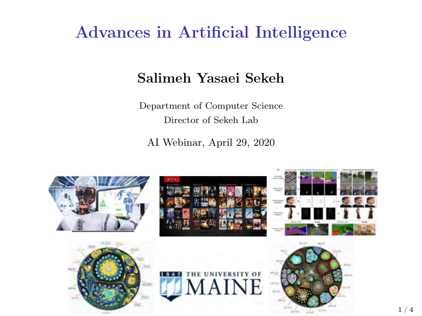### Advances in Artificial Intelligence

#### Salimeh Yasaei Sekeh

Department of Computer Science Director of Sekeh Lab

AI Webinar, April 29, 2020

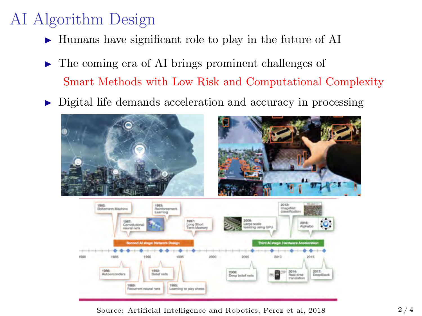# AI Algorithm Design

- $\blacktriangleright$  Humans have significant role to play in the future of AI
- $\blacktriangleright$  The coming era of AI brings prominent challenges of Smart Methods with Low Risk and Computational Complexity
- $\triangleright$  Digital life demands acceleration and accuracy in processing



Source: Artificial Intelligence and Robotics, Perez et al,  $2018$  2/4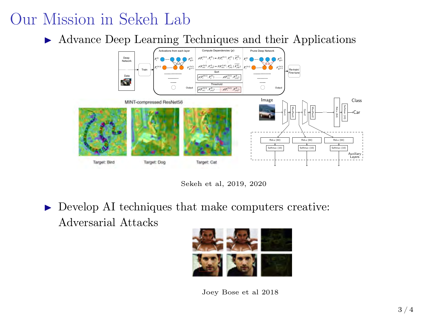## Our Mission in Sekeh Lab

▶ Advance Deep Learning Techniques and their Applications



Sekeh et al, 2019, 2020

 $\triangleright$  Develop AI techniques that make computers creative: Adversarial Attacks



Joey Bose et al 2018